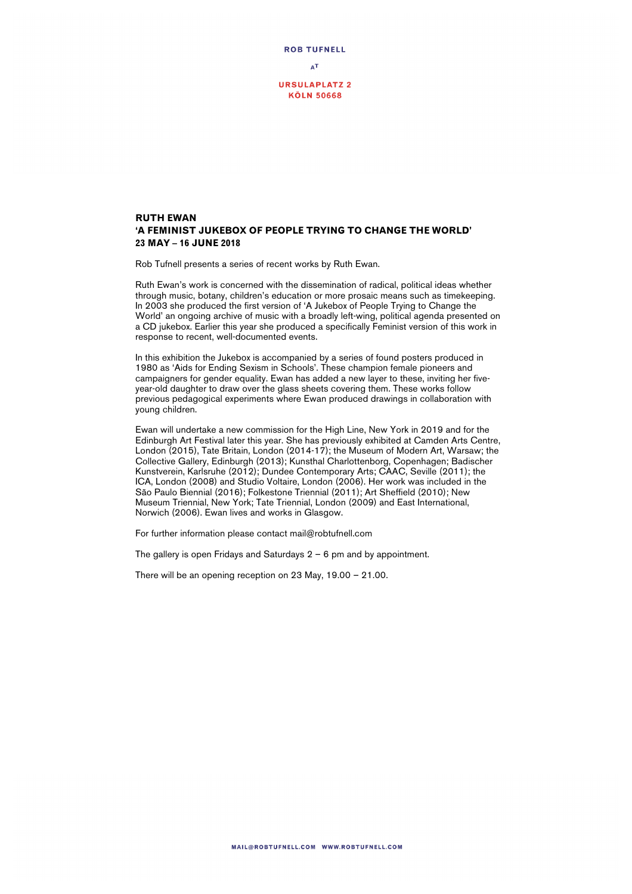

## **RUTH EWAN 'A FEMINIST JUKEBOX OF PEOPLE TRYING TO CHANGE THE WORLD' 23 MAY – 16 JUNE 2018**

Rob Tufnell presents a series of recent works by Ruth Ewan.

Ruth Ewan's work is concerned with the dissemination of radical, political ideas whether through music, botany, children's education or more prosaic means such as timekeeping. In 2003 she produced the first version of 'A Jukebox of People Trying to Change the World' an ongoing archive of music with a broadly left-wing, political agenda presented on a CD jukebox. Earlier this year she produced a specifically Feminist version of this work in response to recent, well-documented events.

In this exhibition the Jukebox is accompanied by a series of found posters produced in 1980 as 'Aids for Ending Sexism in Schools'. These champion female pioneers and campaigners for gender equality. Ewan has added a new layer to these, inviting her fiveyear-old daughter to draw over the glass sheets covering them. These works follow previous pedagogical experiments where Ewan produced drawings in collaboration with young children.

Ewan will undertake a new commission for the High Line, New York in 2019 and for the Edinburgh Art Festival later this year. She has previously exhibited at Camden Arts Centre, London (2015), Tate Britain, London (2014-17); the Museum of Modern Art, Warsaw; the Collective Gallery, Edinburgh (2013); Kunsthal Charlottenborg, Copenhagen; Badischer Kunstverein, Karlsruhe (2012); Dundee Contemporary Arts; CAAC, Seville (2011); the ICA, London (2008) and Studio Voltaire, London (2006). Her work was included in the São Paulo Biennial (2016); Folkestone Triennial (2011); Art Sheffield (2010); New Museum Triennial, New York; Tate Triennial, London (2009) and East International, Norwich (2006). Ewan lives and works in Glasgow.

For further information please contact mail@robtufnell.com

The gallery is open Fridays and Saturdays  $2 - 6$  pm and by appointment.

There will be an opening reception on 23 May, 19.00 – 21.00.